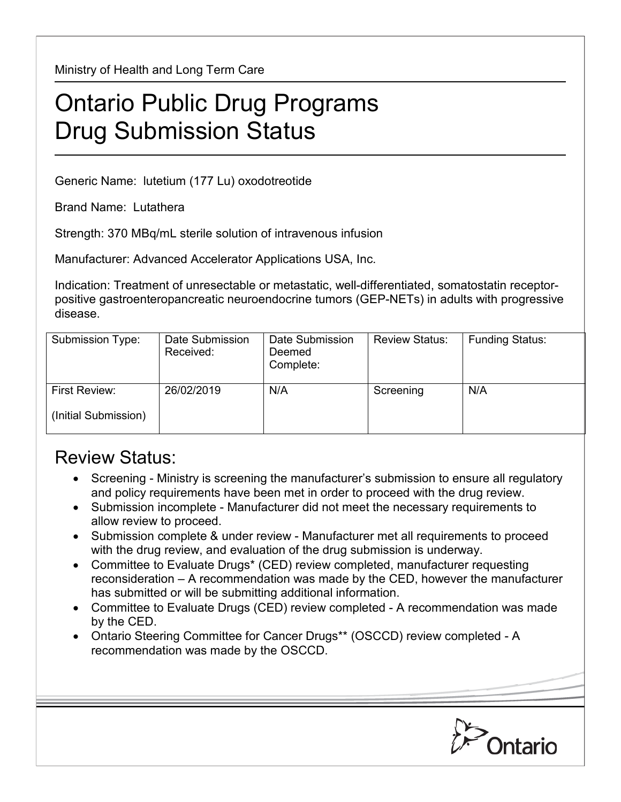Ministry of Health and Long Term Care

## Ontario Public Drug Programs Drug Submission Status

Generic Name: lutetium (177 Lu) oxodotreotide

Brand Name: Lutathera

Strength: 370 MBq/mL sterile solution of intravenous infusion

Manufacturer: Advanced Accelerator Applications USA, Inc.

Indication: Treatment of unresectable or metastatic, well-differentiated, somatostatin receptorpositive gastroenteropancreatic neuroendocrine tumors (GEP-NETs) in adults with progressive disease.

| Submission Type:     | Date Submission<br>Received: | Date Submission<br>Deemed<br>Complete: | <b>Review Status:</b> | <b>Funding Status:</b> |
|----------------------|------------------------------|----------------------------------------|-----------------------|------------------------|
| First Review:        | 26/02/2019                   | N/A                                    | Screening             | N/A                    |
| (Initial Submission) |                              |                                        |                       |                        |

## Review Status:

- Screening Ministry is screening the manufacturer's submission to ensure all regulatory and policy requirements have been met in order to proceed with the drug review.
- Submission incomplete Manufacturer did not meet the necessary requirements to allow review to proceed.
- Submission complete & under review Manufacturer met all requirements to proceed with the drug review, and evaluation of the drug submission is underway.
- Committee to Evaluate Drugs\* (CED) review completed, manufacturer requesting reconsideration – A recommendation was made by the CED, however the manufacturer has submitted or will be submitting additional information.
- Committee to Evaluate Drugs (CED) review completed A recommendation was made by the CED.
- Ontario Steering Committee for Cancer Drugs\*\* (OSCCD) review completed A recommendation was made by the OSCCD.